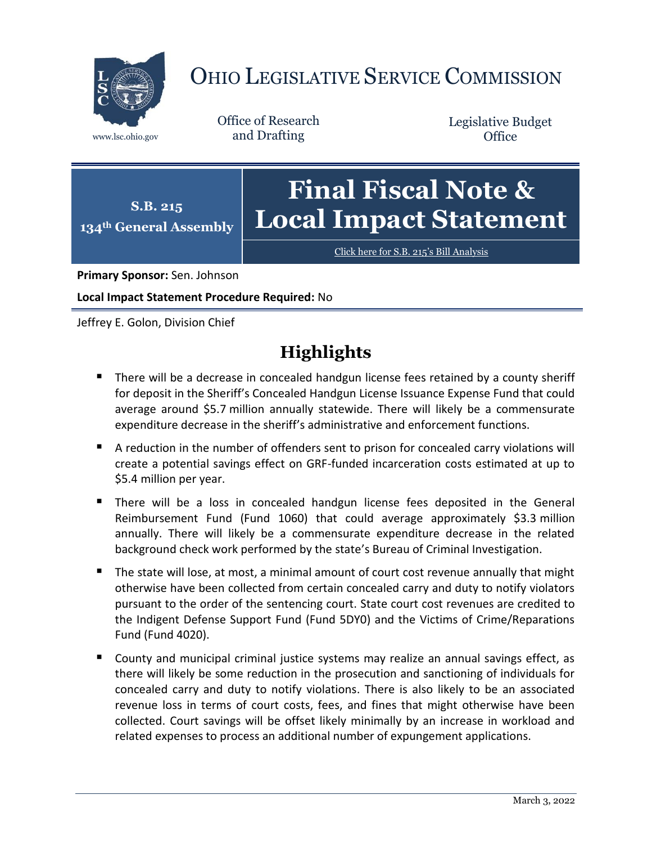

# OHIO LEGISLATIVE SERVICE COMMISSION

Office of Research www.lsc.ohio.gov and Drafting

Legislative Budget **Office** 

#### **S.B. 215 134th General Assembly Final Fiscal Note & Local Impact Statement**

[Click here for S.B. 215](https://www.legislature.ohio.gov/legislation/legislation-documents?id=GA134-SB-215)'s Bill Analysis

**Primary Sponsor:** Sen. Johnson

**Local Impact Statement Procedure Required:** No

Jeffrey E. Golon, Division Chief

## **Highlights**

- There will be a decrease in concealed handgun license fees retained by a county sheriff for deposit in the Sheriff's Concealed Handgun License Issuance Expense Fund that could average around \$5.7 million annually statewide. There will likely be a commensurate expenditure decrease in the sheriff's administrative and enforcement functions.
- A reduction in the number of offenders sent to prison for concealed carry violations will create a potential savings effect on GRF-funded incarceration costs estimated at up to \$5.4 million per year.
- There will be a loss in concealed handgun license fees deposited in the General Reimbursement Fund (Fund 1060) that could average approximately \$3.3 million annually. There will likely be a commensurate expenditure decrease in the related background check work performed by the state's Bureau of Criminal Investigation.
- The state will lose, at most, a minimal amount of court cost revenue annually that might otherwise have been collected from certain concealed carry and duty to notify violators pursuant to the order of the sentencing court. State court cost revenues are credited to the Indigent Defense Support Fund (Fund 5DY0) and the Victims of Crime/Reparations Fund (Fund 4020).
- County and municipal criminal justice systems may realize an annual savings effect, as there will likely be some reduction in the prosecution and sanctioning of individuals for concealed carry and duty to notify violations. There is also likely to be an associated revenue loss in terms of court costs, fees, and fines that might otherwise have been collected. Court savings will be offset likely minimally by an increase in workload and related expenses to process an additional number of expungement applications.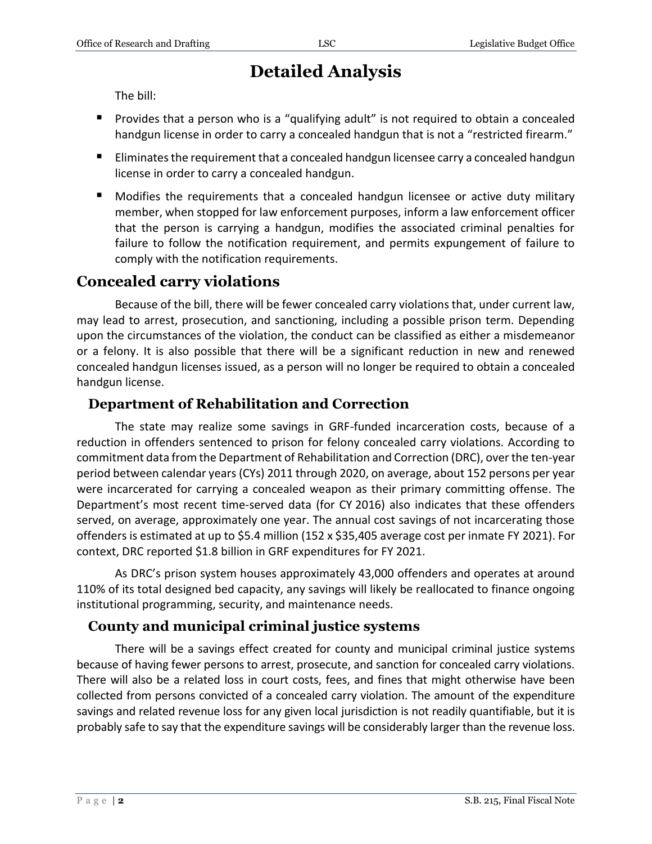### **Detailed Analysis**

The bill:

- **Provides that a person who is a "qualifying adult" is not required to obtain a concealed** handgun license in order to carry a concealed handgun that is not a "restricted firearm."
- Eliminates the requirement that a concealed handgun licensee carry a concealed handgun license in order to carry a concealed handgun.
- Modifies the requirements that a concealed handgun licensee or active duty military member, when stopped for law enforcement purposes, inform a law enforcement officer that the person is carrying a handgun, modifies the associated criminal penalties for failure to follow the notification requirement, and permits expungement of failure to comply with the notification requirements.

#### **Concealed carry violations**

Because of the bill, there will be fewer concealed carry violations that, under current law, may lead to arrest, prosecution, and sanctioning, including a possible prison term. Depending upon the circumstances of the violation, the conduct can be classified as either a misdemeanor or a felony. It is also possible that there will be a significant reduction in new and renewed concealed handgun licenses issued, as a person will no longer be required to obtain a concealed handgun license.

#### **Department of Rehabilitation and Correction**

The state may realize some savings in GRF-funded incarceration costs, because of a reduction in offenders sentenced to prison for felony concealed carry violations. According to commitment data from the Department of Rehabilitation and Correction (DRC), over the ten-year period between calendar years (CYs) 2011 through 2020, on average, about 152 persons per year were incarcerated for carrying a concealed weapon as their primary committing offense. The Department's most recent time-served data (for CY 2016) also indicates that these offenders served, on average, approximately one year. The annual cost savings of not incarcerating those offenders is estimated at up to \$5.4 million (152 x \$35,405 average cost per inmate FY 2021). For context, DRC reported \$1.8 billion in GRF expenditures for FY 2021.

As DRC's prison system houses approximately 43,000 offenders and operates at around 110% of its total designed bed capacity, any savings will likely be reallocated to finance ongoing institutional programming, security, and maintenance needs.

#### **County and municipal criminal justice systems**

There will be a savings effect created for county and municipal criminal justice systems because of having fewer persons to arrest, prosecute, and sanction for concealed carry violations. There will also be a related loss in court costs, fees, and fines that might otherwise have been collected from persons convicted of a concealed carry violation. The amount of the expenditure savings and related revenue loss for any given local jurisdiction is not readily quantifiable, but it is probably safe to say that the expenditure savings will be considerably larger than the revenue loss.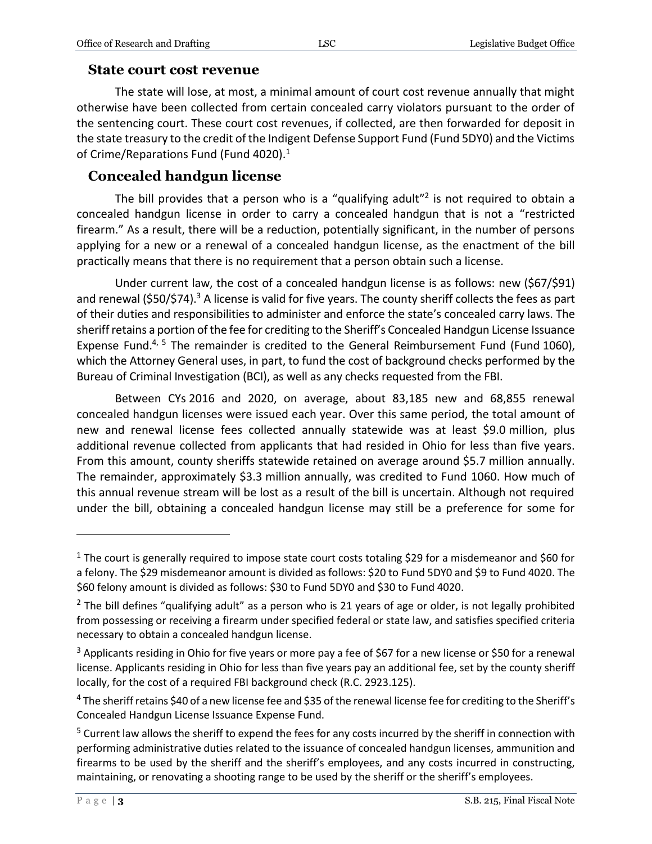#### **State court cost revenue**

The state will lose, at most, a minimal amount of court cost revenue annually that might otherwise have been collected from certain concealed carry violators pursuant to the order of the sentencing court. These court cost revenues, if collected, are then forwarded for deposit in the state treasury to the credit of the Indigent Defense Support Fund (Fund 5DY0) and the Victims of Crime/Reparations Fund (Fund 4020).<sup>1</sup>

#### **Concealed handgun license**

The bill provides that a person who is a "qualifying adult"<sup>2</sup> is not required to obtain a concealed handgun license in order to carry a concealed handgun that is not a "restricted firearm." As a result, there will be a reduction, potentially significant, in the number of persons applying for a new or a renewal of a concealed handgun license, as the enactment of the bill practically means that there is no requirement that a person obtain such a license.

Under current law, the cost of a concealed handgun license is as follows: new (\$67/\$91) and renewal (\$50/\$74).<sup>3</sup> A license is valid for five years. The county sheriff collects the fees as part of their duties and responsibilities to administer and enforce the state's concealed carry laws. The sheriff retains a portion of the fee for crediting to the Sheriff's Concealed Handgun License Issuance Expense Fund.<sup>4, 5</sup> The remainder is credited to the General Reimbursement Fund (Fund 1060), which the Attorney General uses, in part, to fund the cost of background checks performed by the Bureau of Criminal Investigation (BCI), as well as any checks requested from the FBI.

Between CYs 2016 and 2020, on average, about 83,185 new and 68,855 renewal concealed handgun licenses were issued each year. Over this same period, the total amount of new and renewal license fees collected annually statewide was at least \$9.0 million, plus additional revenue collected from applicants that had resided in Ohio for less than five years. From this amount, county sheriffs statewide retained on average around \$5.7 million annually. The remainder, approximately \$3.3 million annually, was credited to Fund 1060. How much of this annual revenue stream will be lost as a result of the bill is uncertain. Although not required under the bill, obtaining a concealed handgun license may still be a preference for some for

 $\overline{a}$ 

 $1$  The court is generally required to impose state court costs totaling \$29 for a misdemeanor and \$60 for a felony. The \$29 misdemeanor amount is divided as follows: \$20 to Fund 5DY0 and \$9 to Fund 4020. The \$60 felony amount is divided as follows: \$30 to Fund 5DY0 and \$30 to Fund 4020.

 $2$  The bill defines "qualifying adult" as a person who is 21 years of age or older, is not legally prohibited from possessing or receiving a firearm under specified federal or state law, and satisfies specified criteria necessary to obtain a concealed handgun license.

<sup>3</sup> Applicants residing in Ohio for five years or more pay a fee of \$67 for a new license or \$50 for a renewal license. Applicants residing in Ohio for less than five years pay an additional fee, set by the county sheriff locally, for the cost of a required FBI background check (R.C. 2923.125).

<sup>&</sup>lt;sup>4</sup> The sheriff retains \$40 of a new license fee and \$35 of the renewal license fee for crediting to the Sheriff's Concealed Handgun License Issuance Expense Fund.

<sup>&</sup>lt;sup>5</sup> Current law allows the sheriff to expend the fees for any costs incurred by the sheriff in connection with performing administrative duties related to the issuance of concealed handgun licenses, ammunition and firearms to be used by the sheriff and the sheriff's employees, and any costs incurred in constructing, maintaining, or renovating a shooting range to be used by the sheriff or the sheriff's employees.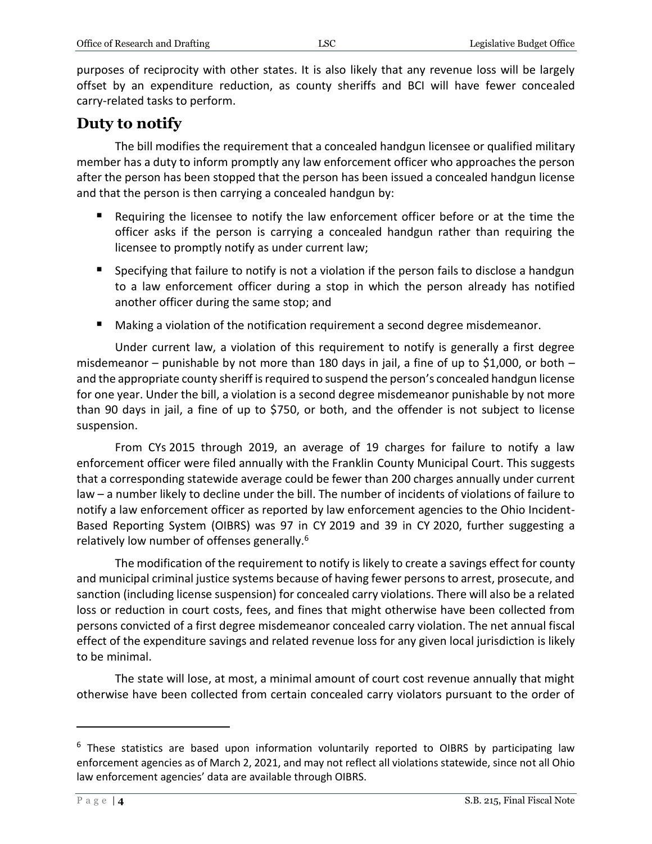purposes of reciprocity with other states. It is also likely that any revenue loss will be largely offset by an expenditure reduction, as county sheriffs and BCI will have fewer concealed carry-related tasks to perform.

#### **Duty to notify**

The bill modifies the requirement that a concealed handgun licensee or qualified military member has a duty to inform promptly any law enforcement officer who approaches the person after the person has been stopped that the person has been issued a concealed handgun license and that the person is then carrying a concealed handgun by:

- Requiring the licensee to notify the law enforcement officer before or at the time the officer asks if the person is carrying a concealed handgun rather than requiring the licensee to promptly notify as under current law;
- **Specifying that failure to notify is not a violation if the person fails to disclose a handgun** to a law enforcement officer during a stop in which the person already has notified another officer during the same stop; and
- Making a violation of the notification requirement a second degree misdemeanor.

Under current law, a violation of this requirement to notify is generally a first degree misdemeanor – punishable by not more than 180 days in jail, a fine of up to \$1,000, or both – and the appropriate county sheriff is required to suspend the person's concealed handgun license for one year. Under the bill, a violation is a second degree misdemeanor punishable by not more than 90 days in jail, a fine of up to \$750, or both, and the offender is not subject to license suspension.

From CYs 2015 through 2019, an average of 19 charges for failure to notify a law enforcement officer were filed annually with the Franklin County Municipal Court. This suggests that a corresponding statewide average could be fewer than 200 charges annually under current law – a number likely to decline under the bill. The number of incidents of violations of failure to notify a law enforcement officer as reported by law enforcement agencies to the Ohio Incident-Based Reporting System (OIBRS) was 97 in CY 2019 and 39 in CY 2020, further suggesting a relatively low number of offenses generally.<sup>6</sup>

The modification of the requirement to notify is likely to create a savings effect for county and municipal criminal justice systems because of having fewer persons to arrest, prosecute, and sanction (including license suspension) for concealed carry violations. There will also be a related loss or reduction in court costs, fees, and fines that might otherwise have been collected from persons convicted of a first degree misdemeanor concealed carry violation. The net annual fiscal effect of the expenditure savings and related revenue loss for any given local jurisdiction is likely to be minimal.

The state will lose, at most, a minimal amount of court cost revenue annually that might otherwise have been collected from certain concealed carry violators pursuant to the order of

 $\overline{a}$ 

<sup>&</sup>lt;sup>6</sup> These statistics are based upon information voluntarily reported to OIBRS by participating law enforcement agencies as of March 2, 2021, and may not reflect all violations statewide, since not all Ohio law enforcement agencies' data are available through OIBRS.